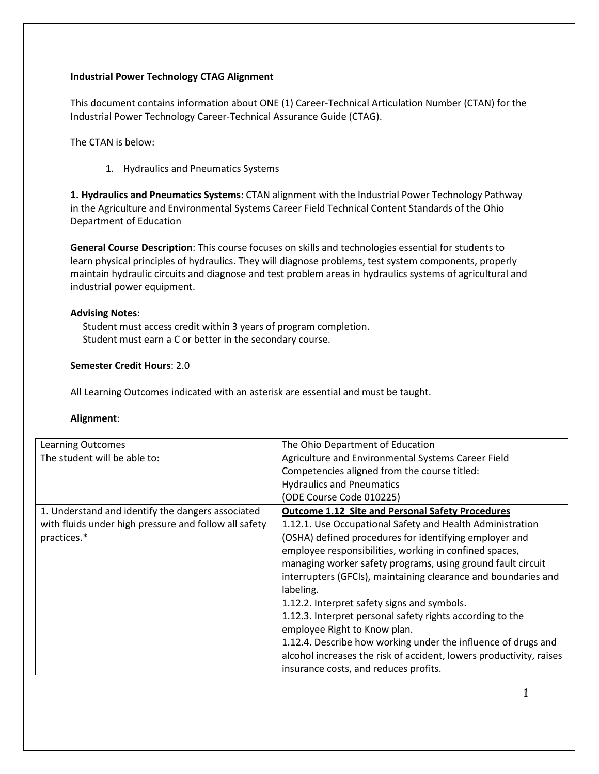## **Industrial Power Technology CTAG Alignment**

This document contains information about ONE (1) Career-Technical Articulation Number (CTAN) for the Industrial Power Technology Career-Technical Assurance Guide (CTAG).

The CTAN is below:

1. Hydraulics and Pneumatics Systems

**1. Hydraulics and Pneumatics Systems**: CTAN alignment with the Industrial Power Technology Pathway in the Agriculture and Environmental Systems Career Field Technical Content Standards of the Ohio Department of Education

**General Course Description**: This course focuses on skills and technologies essential for students to learn physical principles of hydraulics. They will diagnose problems, test system components, properly maintain hydraulic circuits and diagnose and test problem areas in hydraulics systems of agricultural and industrial power equipment.

## **Advising Notes**:

 Student must access credit within 3 years of program completion. Student must earn a C or better in the secondary course.

## **Semester Credit Hours**: 2.0

All Learning Outcomes indicated with an asterisk are essential and must be taught.

## **Alignment**:

| <b>Learning Outcomes</b>                              | The Ohio Department of Education                                    |
|-------------------------------------------------------|---------------------------------------------------------------------|
| The student will be able to:                          | Agriculture and Environmental Systems Career Field                  |
|                                                       | Competencies aligned from the course titled:                        |
|                                                       | <b>Hydraulics and Pneumatics</b>                                    |
|                                                       | (ODE Course Code 010225)                                            |
| 1. Understand and identify the dangers associated     | <b>Outcome 1.12 Site and Personal Safety Procedures</b>             |
| with fluids under high pressure and follow all safety | 1.12.1. Use Occupational Safety and Health Administration           |
| practices.*                                           | (OSHA) defined procedures for identifying employer and              |
|                                                       | employee responsibilities, working in confined spaces,              |
|                                                       | managing worker safety programs, using ground fault circuit         |
|                                                       | interrupters (GFCIs), maintaining clearance and boundaries and      |
|                                                       | labeling.                                                           |
|                                                       | 1.12.2. Interpret safety signs and symbols.                         |
|                                                       | 1.12.3. Interpret personal safety rights according to the           |
|                                                       | employee Right to Know plan.                                        |
|                                                       | 1.12.4. Describe how working under the influence of drugs and       |
|                                                       | alcohol increases the risk of accident, lowers productivity, raises |
|                                                       | insurance costs, and reduces profits.                               |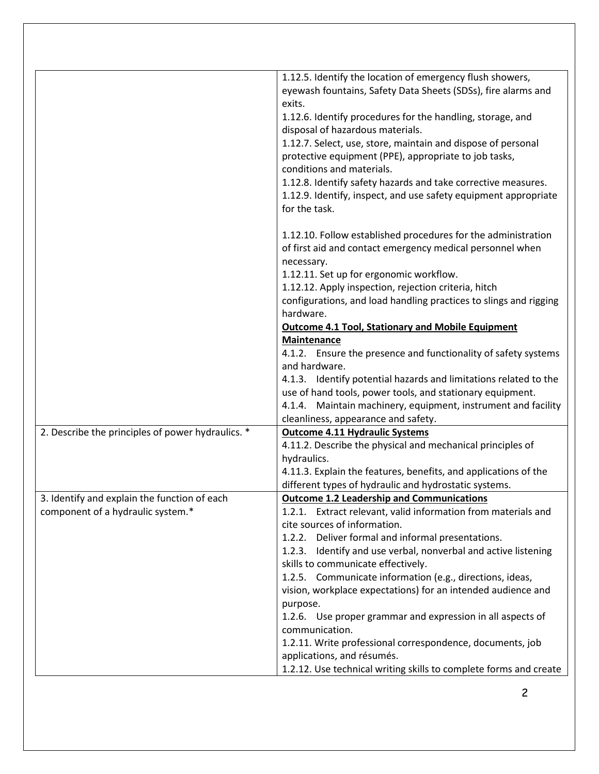|                                                   | 1.12.5. Identify the location of emergency flush showers,<br>eyewash fountains, Safety Data Sheets (SDSs), fire alarms and<br>exits.<br>1.12.6. Identify procedures for the handling, storage, and<br>disposal of hazardous materials.<br>1.12.7. Select, use, store, maintain and dispose of personal<br>protective equipment (PPE), appropriate to job tasks,<br>conditions and materials.<br>1.12.8. Identify safety hazards and take corrective measures.<br>1.12.9. Identify, inspect, and use safety equipment appropriate<br>for the task.<br>1.12.10. Follow established procedures for the administration |
|---------------------------------------------------|--------------------------------------------------------------------------------------------------------------------------------------------------------------------------------------------------------------------------------------------------------------------------------------------------------------------------------------------------------------------------------------------------------------------------------------------------------------------------------------------------------------------------------------------------------------------------------------------------------------------|
|                                                   | of first aid and contact emergency medical personnel when<br>necessary.                                                                                                                                                                                                                                                                                                                                                                                                                                                                                                                                            |
|                                                   | 1.12.11. Set up for ergonomic workflow.                                                                                                                                                                                                                                                                                                                                                                                                                                                                                                                                                                            |
|                                                   | 1.12.12. Apply inspection, rejection criteria, hitch                                                                                                                                                                                                                                                                                                                                                                                                                                                                                                                                                               |
|                                                   | configurations, and load handling practices to slings and rigging<br>hardware.                                                                                                                                                                                                                                                                                                                                                                                                                                                                                                                                     |
|                                                   | <b>Outcome 4.1 Tool, Stationary and Mobile Equipment</b>                                                                                                                                                                                                                                                                                                                                                                                                                                                                                                                                                           |
|                                                   | Maintenance                                                                                                                                                                                                                                                                                                                                                                                                                                                                                                                                                                                                        |
|                                                   | 4.1.2. Ensure the presence and functionality of safety systems<br>and hardware.                                                                                                                                                                                                                                                                                                                                                                                                                                                                                                                                    |
|                                                   | 4.1.3. Identify potential hazards and limitations related to the                                                                                                                                                                                                                                                                                                                                                                                                                                                                                                                                                   |
|                                                   | use of hand tools, power tools, and stationary equipment.                                                                                                                                                                                                                                                                                                                                                                                                                                                                                                                                                          |
|                                                   | 4.1.4. Maintain machinery, equipment, instrument and facility                                                                                                                                                                                                                                                                                                                                                                                                                                                                                                                                                      |
|                                                   | cleanliness, appearance and safety.                                                                                                                                                                                                                                                                                                                                                                                                                                                                                                                                                                                |
| 2. Describe the principles of power hydraulics. * | <b>Outcome 4.11 Hydraulic Systems</b>                                                                                                                                                                                                                                                                                                                                                                                                                                                                                                                                                                              |
|                                                   | 4.11.2. Describe the physical and mechanical principles of                                                                                                                                                                                                                                                                                                                                                                                                                                                                                                                                                         |
|                                                   | hydraulics.<br>4.11.3. Explain the features, benefits, and applications of the                                                                                                                                                                                                                                                                                                                                                                                                                                                                                                                                     |
|                                                   | different types of hydraulic and hydrostatic systems.                                                                                                                                                                                                                                                                                                                                                                                                                                                                                                                                                              |
| 3. Identify and explain the function of each      | <b>Outcome 1.2 Leadership and Communications</b>                                                                                                                                                                                                                                                                                                                                                                                                                                                                                                                                                                   |
| component of a hydraulic system.*                 | 1.2.1. Extract relevant, valid information from materials and                                                                                                                                                                                                                                                                                                                                                                                                                                                                                                                                                      |
|                                                   | cite sources of information.                                                                                                                                                                                                                                                                                                                                                                                                                                                                                                                                                                                       |
|                                                   | 1.2.2. Deliver formal and informal presentations.                                                                                                                                                                                                                                                                                                                                                                                                                                                                                                                                                                  |
|                                                   | 1.2.3. Identify and use verbal, nonverbal and active listening                                                                                                                                                                                                                                                                                                                                                                                                                                                                                                                                                     |
|                                                   | skills to communicate effectively.                                                                                                                                                                                                                                                                                                                                                                                                                                                                                                                                                                                 |
|                                                   | 1.2.5. Communicate information (e.g., directions, ideas,<br>vision, workplace expectations) for an intended audience and                                                                                                                                                                                                                                                                                                                                                                                                                                                                                           |
|                                                   | purpose.                                                                                                                                                                                                                                                                                                                                                                                                                                                                                                                                                                                                           |
|                                                   | 1.2.6. Use proper grammar and expression in all aspects of                                                                                                                                                                                                                                                                                                                                                                                                                                                                                                                                                         |
|                                                   | communication.                                                                                                                                                                                                                                                                                                                                                                                                                                                                                                                                                                                                     |
|                                                   | 1.2.11. Write professional correspondence, documents, job                                                                                                                                                                                                                                                                                                                                                                                                                                                                                                                                                          |
|                                                   | applications, and résumés.                                                                                                                                                                                                                                                                                                                                                                                                                                                                                                                                                                                         |
|                                                   | 1.2.12. Use technical writing skills to complete forms and create                                                                                                                                                                                                                                                                                                                                                                                                                                                                                                                                                  |